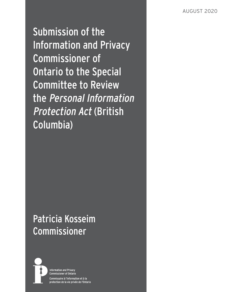Submission of the Information and Privacy Commissioner of Ontario to the Special Committee to Review the Personal Information Protection Act (British Columbia)

# Patricia Kosseim Commissioner



**Information and Privacy Commissioner of Ontario** Commissaire à l'information et à la protection de la vie privée de l'Ontario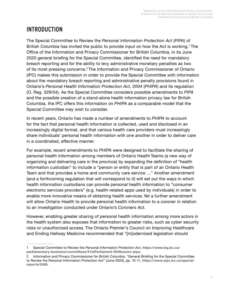# INTRODUCTION

The Special Committee to Review the *Personal Information Protection Act* (*PIPA*) of British Columbia has invited the public to provide input on how the Act is working.<sup>1</sup> The Office of the Information and Privacy Commissioner for British Columbia, in its June 2020 general briefing for the Special Committee, identified the need for mandatory breach reporting and for the ability to levy administrative monetary penalties as two of its most pressing concerns.2 The Information and Privacy Commissioner of Ontario (IPC) makes this submission in order to provide the Special Committee with information about the mandatory breach reporting and administrative penalty provisions found in Ontario's *Personal Health Information Protection Act, 2004* (*PHIPA*) and its regulation (O. Reg. 329/04). As the Special Committee considers possible amendments to *PIPA* and the possible creation of a stand-alone health information privacy law for British Columbia, the IPC offers this information on *PHIPA* as a comparable model that the Special Committee may wish to consider.

In recent years, Ontario has made a number of amendments to *PHIPA* to account for the fact that personal health information is collected, used and disclosed in an increasingly digital format, and that various health care providers must increasingly share individuals' personal health information with one another in order to deliver care in a coordinated, effective manner.

For example, recent amendments to *PHIPA* were designed to facilitate the sharing of personal health information among members of Ontario Health Teams (a new way of organizing and delivering care in the province) by expanding the definition of "health information custodian" to include a "person or entity that is part of an Ontario Health Team and that provides a home and community care service …" Another amendment (and a forthcoming regulation that will correspond to it) will set out the ways in which health information custodians can provide personal health information to "consumer electronic services providers" (e.g. health-related apps used by individuals) in order to enable more innovative means of obtaining health services. Yet a further amendment will allow Ontario Health to provide personal health information to a coroner in relation to an investigation conducted under Ontario's *Coroners Act*.

However, enabling greater sharing of personal health information among more actors in the health system also exposes that information to greater risks, such as cyber security risks or unauthorized access. The Ontario Premier's Council on Improving Healthcare and Ending Hallway Medicine recommended that "[m]odernized legislation should

<sup>1</sup> Special Committee to Review the *Personal Information Protection Act*, **[https://www.leg.bc.ca/](https://www.leg.bc.ca/parliamentary-business/committees/41stParliament-5thSession-pipa) [parliamentary-business/committees/41stParliament-5thSession-pipa](https://www.leg.bc.ca/parliamentary-business/committees/41stParliament-5thSession-pipa)**.

<sup>2</sup> Information and Privacy Commissioner for British Columbia, "General Briefing for the Special Committee to Review the Personal Information Protection Act" (June 2020), pp. 10-11, **[https://www.oipc.bc.ca/special](https://www.oipc.bc.ca/special-reports/2426)[reports/2426](https://www.oipc.bc.ca/special-reports/2426)**.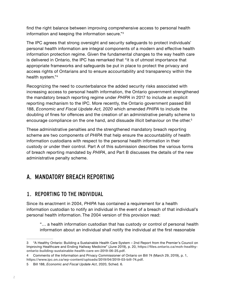find the right balance between improving comprehensive access to personal health information and keeping the information secure."3

The IPC agrees that strong oversight and security safeguards to protect individuals' personal health information are integral components of a modern and effective health information protection regime. Given the fundamental changes to the way health care is delivered in Ontario, the IPC has remarked that "it is of utmost importance that appropriate frameworks and safeguards be put in place to protect the privacy and access rights of Ontarians and to ensure accountability and transparency within the health system."<sup>4</sup>

Recognizing the need to counterbalance the added security risks associated with increasing access to personal health information, the Ontario government strengthened the mandatory breach reporting regime under *PHIPA* in 2017 to include an explicit reporting mechanism to the IPC. More recently, the Ontario government passed Bill 188, *Economic and Fiscal Update Act, 2020* which amended *PHIPA* to include the doubling of fines for offences and the creation of an administrative penalty scheme to encourage compliance on the one hand, and dissuade illicit behaviour on the other.<sup>5</sup>

These administrative penalties and the strengthened mandatory breach reporting scheme are two components of *PHIPA* that help ensure the accountability of health information custodians with respect to the personal health information in their custody or under their control. Part A of this submission describes the various forms of breach reporting mandated by *PHIPA*, and Part B discusses the details of the new administrative penalty scheme.

## A. MANDATORY BREACH REPORTING

### 1. REPORTING TO THE INDIVIDUAL

Since its enactment in 2004, *PHIPA* has contained a requirement for a health information custodian to notify an individual in the event of a breach of that individual's personal health information. The 2004 version of this provision read:

"… a health information custodian that has custody or control of personal health information about an individual shall notify the individual at the first reasonable

<sup>3</sup> "A Healthy Ontario: Building a Sustainable Health Care System – 2nd Report from the Premier's Council on Improving Healthcare and Ending Hallway Medicine" (June 2019), p. 20, **[https://files.ontario.ca/moh-healthy](https://files.ontario.ca/moh-healthy-ontario-building-sustainable-health-care-en-2019-06-25.pdf)[ontario-building-sustainable-health-care-en-2019-06-25.pdf](https://files.ontario.ca/moh-healthy-ontario-building-sustainable-health-care-en-2019-06-25.pdf)**.

<sup>4</sup> Comments of the Information and Privacy Commissioner of Ontario on Bill 74 (March 29, 2019), p. 1, **<https://www.ipc.on.ca/wp-content/uploads/2019/04/2019-03-bill-74.pdf>**.

<sup>5</sup> Bill 188, *Economic and Fiscal Update Act*, 2020, Sched. 6.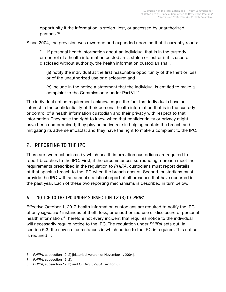opportunity if the information is stolen, lost, or accessed by unauthorized persons."<sup>6</sup>

Since 2004, the provision was reworded and expanded upon, so that it currently reads:

"… if personal health information about an individual that is in the custody or control of a health information custodian is stolen or lost or if it is used or disclosed without authority, the health information custodian shall,

(a) notify the individual at the first reasonable opportunity of the theft or loss or of the unauthorized use or disclosure; and

(b) include in the notice a statement that the individual is entitled to make a complaint to the Commissioner under Part VI."<sup>7</sup>

The individual notice requirement acknowledges the fact that individuals have an interest in the confidentiality of their personal health information that is in the custody or control of a health information custodian and their privacy with respect to that information. They have the right to know when that confidentiality or privacy might have been compromised; they play an active role in helping contain the breach and mitigating its adverse impacts; and they have the right to make a complaint to the IPC.

## 2. REPORTING TO THE IPC

There are two mechanisms by which health information custodians are required to report breaches to the IPC. First, if the circumstances surrounding a breach meet the requirements prescribed in the regulation to *PHIPA*, custodians must report details of that specific breach to the IPC when the breach occurs. Second, custodians must provide the IPC with an annual statistical report of all breaches that have occurred in the past year. Each of these two reporting mechanisms is described in turn below.

#### A. NOTICE TO THE IPC UNDER SUBSECTION 12 (3) OF PHIPA

Effective October 1, 2017, health information custodians are required to notify the IPC of only *significant* instances of theft, loss, or unauthorized use or disclosure of personal health information.<sup>8</sup> Therefore not every incident that requires notice to the individual will necessarily require notice to the IPC. The regulation under *PHIPA* sets out, in section 6.3, the seven circumstances in which notice to the IPC is required. This notice is required if:

<sup>6</sup> *PHIPA*, subsection 12 (2) [historical version of November 1, 2004].

<sup>7</sup> *PHIPA*, subsection 12 (2).

<sup>8</sup> *PHIPA*, subsection 12 (3) and O. Reg. 329/04, section 6.3.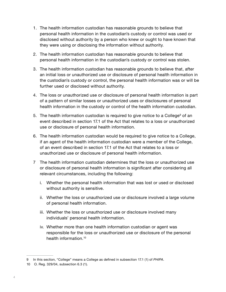- 1. The health information custodian has reasonable grounds to believe that personal health information in the custodian's custody or control was used or disclosed without authority by a person who knew or ought to have known that they were using or disclosing the information without authority.
- 2. The health information custodian has reasonable grounds to believe that personal health information in the custodian's custody or control was stolen.
- 3. The health information custodian has reasonable grounds to believe that, after an initial loss or unauthorized use or disclosure of personal health information in the custodian's custody or control, the personal health information was or will be further used or disclosed without authority.
- 4. The loss or unauthorized use or disclosure of personal health information is part of a pattern of similar losses or unauthorized uses or disclosures of personal health information in the custody or control of the health information custodian.
- 5. The health information custodian is required to give notice to a College<sup>9</sup> of an event described in section 17.1 of the Act that relates to a loss or unauthorized use or disclosure of personal health information.
- 6. The health information custodian would be required to give notice to a College, if an agent of the health information custodian were a member of the College, of an event described in section 17.1 of the Act that relates to a loss or unauthorized use or disclosure of personal health information.
- 7 The health information custodian determines that the loss or unauthorized use or disclosure of personal health information is significant after considering all relevant circumstances, including the following:
	- i. Whether the personal health information that was lost or used or disclosed without authority is sensitive.
	- ii. Whether the loss or unauthorized use or disclosure involved a large volume of personal health information.
	- iii. Whether the loss or unauthorized use or disclosure involved many individuals' personal health information.
	- iv. Whether more than one health information custodian or agent was responsible for the loss or unauthorized use or disclosure of the personal health information.<sup>10</sup>

<sup>9</sup> In this section, "College" means a College as defined in subsection 17.1 (1) of *PHIPA*.

<sup>10</sup> O. Reg. 329/04, subsection 6.3 (1).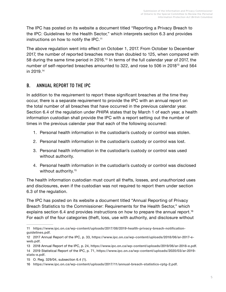The IPC has posted on its website a document titled "Reporting a Privacy Breach to the IPC: Guidelines for the Health Sector," which interprets section 6.3 and provides instructions on how to notify the IPC.<sup>11</sup>

The above regulation went into effect on October 1, 2017. From October to December 2017, the number of reported breaches more than doubled to 125, when compared with 58 during the same time period in 2016.<sup>12</sup> In terms of the full calendar year of 2017, the number of self-reported breaches amounted to 322, and rose to 506 in 2018<sup>13</sup> and 564 in 2019.14

#### B. ANNUAL REPORT TO THE IPC

In addition to the requirement to report these significant breaches at the time they occur, there is a separate requirement to provide the IPC with an annual report on the total number of all breaches that have occurred in the previous calendar year. Section 6.4 of the regulation under *PHIPA* states that by March 1 of each year, a health information custodian shall provide the IPC with a report setting out the number of times in the previous calendar year that each of the following occurred:

- 1. Personal health information in the custodian's custody or control was stolen.
- 2. Personal health information in the custodian's custody or control was lost.
- 3. Personal health information in the custodian's custody or control was used without authority.
- 4. Personal health information in the custodian's custody or control was disclosed without authority.<sup>15</sup>

The health information custodian must count all thefts, losses, and unauthorized uses and disclosures, even if the custodian was not required to report them under section 6.3 of the regulation.

The IPC has posted on its website a document titled "Annual Reporting of Privacy Breach Statistics to the Commissioner: Requirements for the Health Sector," which explains section 6.4 and provides instructions on how to prepare the annual report.<sup>16</sup> For each of the four categories (theft, loss, use with authority, and disclosure without

<sup>11</sup> **[https://www.ipc.on.ca/wp-content/uploads/2017/08/2019-health-privacy-breach-notification](https://www.ipc.on.ca/wp-content/uploads/2017/08/2019-health-privacy-breach-notification-guidelines.pdf)[guidelines.pdf](https://www.ipc.on.ca/wp-content/uploads/2017/08/2019-health-privacy-breach-notification-guidelines.pdf)**.

<sup>12</sup> 2017 Annual Report of the IPC, p. 33, **[https://www.ipc.on.ca/wp-content/uploads/2018/06/ar-2017-e](https://www.ipc.on.ca/wp-content/uploads/2018/06/ar-2017-e-web.pdf)[web.pdf](https://www.ipc.on.ca/wp-content/uploads/2018/06/ar-2017-e-web.pdf)**.

<sup>13</sup> 2018 Annual Report of the IPC, p. 24, **<https://www.ipc.on.ca/wp-content/uploads/2019/06/ar-2018-e.pdf>**. 14 2019 Statistical Report of the IPC, p. 71, **[https://www.ipc.on.ca/wp-content/uploads/2020/03/ar-2019](https://www.ipc.on.ca/wp-content/uploads/2020/03/ar-2019-stats-e.pdf) [stats-e.pdf](https://www.ipc.on.ca/wp-content/uploads/2020/03/ar-2019-stats-e.pdf)**.

<sup>15</sup> O. Reg. 329/04, subsection 6.4 (1).

<sup>16</sup> **<https://www.ipc.on.ca/wp-content/uploads/2017/11/annual-breach-statistics-rptg-2.pdf>**.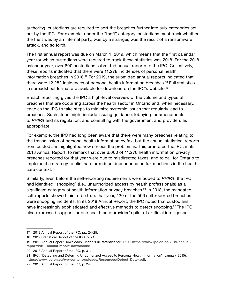authority), custodians are required to sort the breaches further into sub-categories set out by the IPC. For example, under the "theft" category, custodians must track whether the theft was by an internal party, was by a stranger, was the result of a ransomware attack, and so forth.

The first annual report was due on March 1, 2019, which means that the first calendar year for which custodians were required to track these statistics was 2018. For the 2018 calendar year, over 800 custodians submitted annual reports to the IPC. Collectively, these reports indicated that there were 11,278 incidences of personal health information breaches in 2018.17 For 2019, the submitted annual reports indicated that there were 12,282 incidences of personal health information breaches.<sup>18</sup> Full statistics in spreadsheet format are available for download on the IPC's website.<sup>19</sup>

Breach reporting gives the IPC a high-level overview of the volume and types of breaches that are occurring across the health sector in Ontario and, when necessary, enables the IPC to take steps to minimize systemic issues that regularly lead to breaches. Such steps might include issuing guidance, lobbying for amendments to *PHIPA* and its regulation, and consulting with the government and providers as appropriate.

For example, the IPC had long been aware that there were many breaches relating to the transmission of personal health information by fax, but the annual statistical reports from custodians highlighted how serious the problem is. This prompted the IPC, in its 2018 Annual Report, to remark that over 6,000 of 11,278 health information privacy breaches reported for that year were due to misdirected faxes, and to call for Ontario to implement a strategy to eliminate or reduce dependence on fax machines in the health care context.20

Similarly, even before the self-reporting requirements were added to *PHIPA*, the IPC had identified "snooping" (i.e., unauthorized access by health professionals) as a significant category of health information privacy breaches.<sup>21</sup> In 2018, the mandated self-reports showed this to be true: that year, 120 of the 506 self-reported breaches were snooping incidents. In its 2018 Annual Report, the IPC noted that custodians have increasingly sophisticated and effective methods to detect snooping.<sup>22</sup> The IPC also expressed support for one health care provider's pilot of artificial intelligence

<sup>17</sup> 2018 Annual Report of the IPC, pp. 24-25.

<sup>18</sup> 2019 Statistical Report of the IPC, p. 71.

<sup>19</sup> 2019 Annual Report Downloads, under "Full statistics for 2019," **[https://www.ipc.on.ca/2019-annual](https://www.ipc.on.ca/2019-annual-report/2019-annual-report-downloads/)[report/2019-annual-report-downloads/](https://www.ipc.on.ca/2019-annual-report/2019-annual-report-downloads/)**.

<sup>20</sup> 2018 Annual Report of the IPC, p. 31.

<sup>21</sup> IPC, "Detecting and Deterring Unauthorized Access to Personal Health Information" (January 2015), **[https://www.ipc.on.ca/wp-content/uploads/Resources/Detect\\_Deter.pdf](https://www.ipc.on.ca/wp-content/uploads/Resources/Detect_Deter.pdf)**.

<sup>22</sup> 2018 Annual Report of the IPC, p. 24.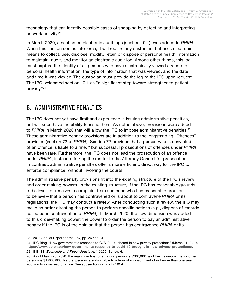technology that can identify possible cases of snooping by detecting and interpreting network activity.<sup>23</sup>

In March 2020, a section on electronic audit logs (section 10.1), was added to *PHIPA*. When this section comes into force, it will require any custodian that uses electronic means to collect, use, disclose, modify, retain or dispose of personal health information to maintain, audit, and monitor an electronic audit log. Among other things, this log must capture the identity of all persons who have electronically viewed a record of personal health information, the type of information that was viewed, and the date and time it was viewed. The custodian must provide the log to the IPC upon request. The IPC welcomed section 10.1 as "a significant step toward strengthened patient privacy."<sup>24</sup>

## B. ADMINISTRATIVE PENALTIES

The IPC does not yet have firsthand experience in issuing administrative penalties, but will soon have the ability to issue them. As noted above, provisions were added to PHIPA in March 2020 that will allow the IPC to impose administrative penalties.<sup>25</sup> These administrative penalty provisions are in addition to the longstanding "Offences" provision (section 72 of *PHIPA*). Section 72 provides that a person who is convicted of an offence is liable to a fine,26 but successful prosecutions of offences under *PHIPA* have been rare. Furthermore, the IPC does not lead the prosecution of an offence under *PHIPA*, instead referring the matter to the Attorney General for prosecution. In contrast, administrative penalties offer a more efficient, direct way for the IPC to enforce compliance, without involving the courts.

The administrative penalty provisions fit into the existing structure of the IPC's review and order-making powers. In the existing structure, if the IPC has reasonable grounds to believe—or receives a complaint from someone who has reasonable grounds to believe—that a person has contravened or is about to contravene *PHIPA* or its regulations, the IPC may conduct a review. After conducting such a review, the IPC may make an order directing the person to perform specific actions (e.g., dispose of records collected in contravention of *PHIPA*). In March 2020, the new dimension was added to this order-making power: the power to order the person to pay an administrative penalty if the IPC is of the opinion that the person has contravened *PHIPA* or its

<sup>23</sup> 2018 Annual Report of the IPC, pp. 26 and 31.

<sup>24</sup> IPC Blog, "How government's response to COVID-19 ushered in new privacy protections" (March 31, 2019), **<https://www.ipc.on.ca/how-governments-response-to-covid-19-brought-in-new-privacy-protections/>**. 25 Bill 188, *Economic and Fiscal Update Act, 2020*, Sched. 6.

<sup>26</sup> As of March 25, 2020, the maximum fine for a natural person is \$200,000, and the maximum fine for other persons is \$1,000,000. Natural persons are also liable to a term of imprisonment of not more than one year, in addition to or instead of a fine. See subsection 72 (2) of *PHIPA*.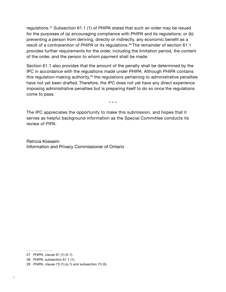regulations.27 Subsection 61.1 (1) of *PHIPA* states that such an order may be issued for the purposes of (a) encouraging compliance with *PHIPA* and its regulations; or (b) preventing a person from deriving, directly or indirectly, any economic benefit as a result of a contravention of PHIPA or its regulations.<sup>28</sup> The remainder of section 61.1 provides further requirements for the order, including the limitation period, the content of the order, and the person to whom payment shall be made.

Section 61.1 also provides that the amount of the penalty shall be determined by the IPC in accordance with the regulations made under *PHIPA*. Although *PHIPA* contains this regulation-making authority, $29$  the regulations pertaining to administrative penalties have not yet been drafted. Therefore, the IPC does not yet have any direct experience imposing administrative penalties but is preparing itself to do so once the regulations come to pass.

\* \* \*

The IPC appreciates the opportunity to make this submission, and hopes that it serves as helpful background information as the Special Committee conducts its review of *PIPA*.

Patricia Kosseim Information and Privacy Commissioner of Ontario

<sup>27</sup> *PHIPA*, clause 61 (1) (h.1).

<sup>28</sup> *PHIPA*, subsection 61.1 (1).

<sup>29</sup> *PHIPA*, clause 73 (1) (o.1) and subsection 73 (5).